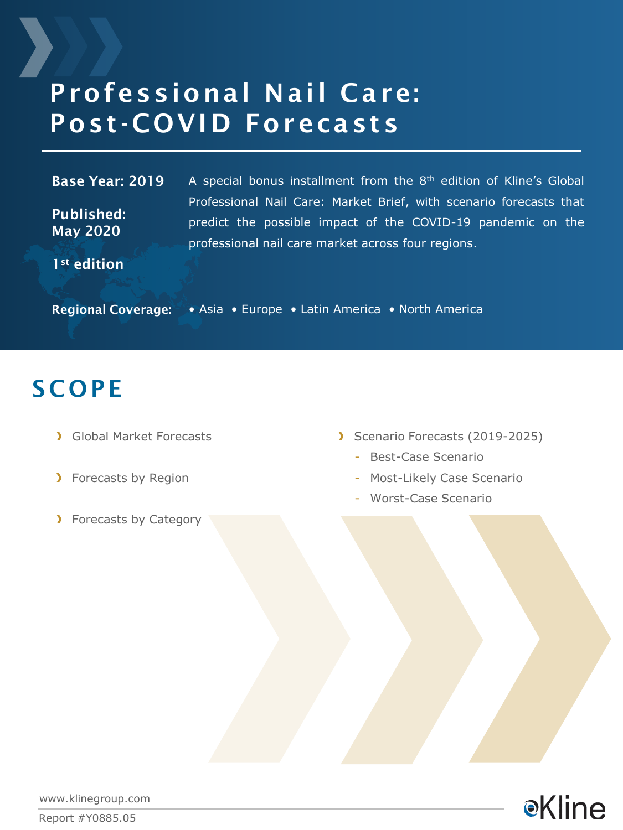# Professional Nail Care: Post-COVID Forecasts

#### Base Year: 2019

Published: May 2020

A special bonus installment from the  $8<sup>th</sup>$  edition of Kline's Global Professional Nail Care: Market Brief, with scenario forecasts that predict the possible impact of the COVID-19 pandemic on the professional nail care market across four regions.

1<sup>st</sup> edition

Regional Coverage: • Asia • Europe • Latin America • North America

## **SCOPE**

- **Global Market Forecasts**
- > Forecasts by Region
- > Forecasts by Category
- Scenario Forecasts (2019-2025)
	- Best-Case Scenario
	- Most-Likely Case Scenario
	- Worst-Case Scenario



www.klinegroup.com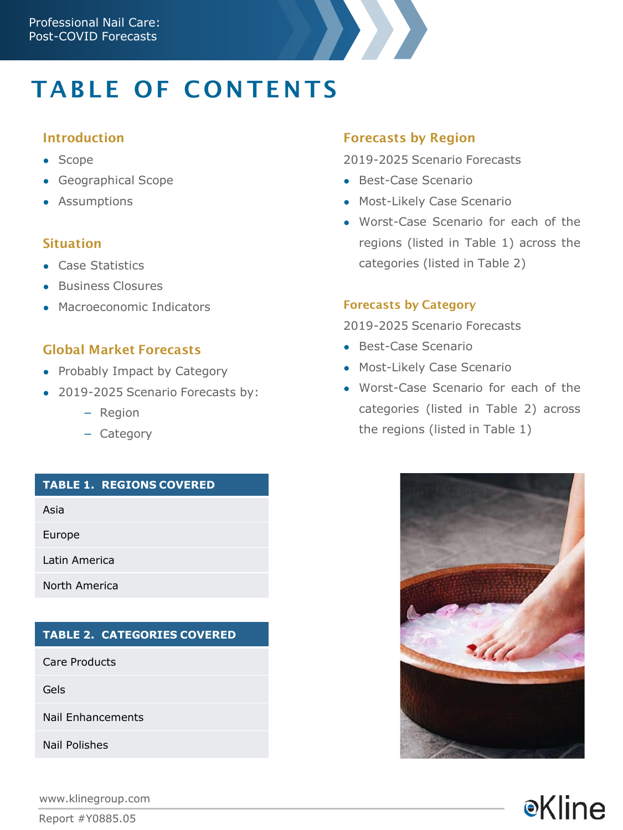# **TABLE OF CONTENTS**

### Introduction

- Scope
- Geographical Scope
- Assumptions

#### Situation

- Case Statistics
- Business Closures
- Macroeconomic Indicators

## Global Market Forecasts

- Probably Impact by Category
- 2019-2025 Scenario Forecasts by:
	- Region
	- Category

#### **TABLE 1. REGIONS COVERED**

Asia

Europe

Latin America

North America

#### **TABLE 2. CATEGORIES COVERED**

Care Products

Gels

Nail Enhancements

Nail Polishes

www.klinegroup.com

Report #Y0885.05

### Forecasts by Region

2019-2025 Scenario Forecasts

- Best-Case Scenario
- Most-Likely Case Scenario
- Worst-Case Scenario for each of the regions (listed in Table 1) across the categories (listed in Table 2)

#### Forecasts by Category

2019-2025 Scenario Forecasts

- Best-Case Scenario
- Most-Likely Case Scenario
- Worst-Case Scenario for each of the categories (listed in Table 2) across the regions (listed in Table 1)